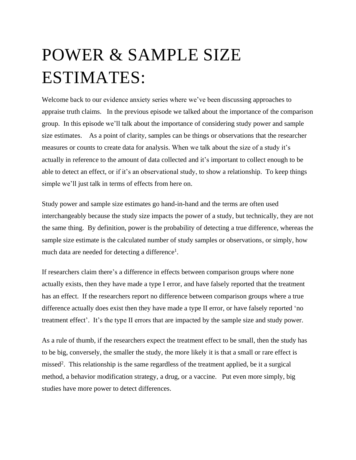## POWER & SAMPLE SIZE ESTIMATES:

Welcome back to our evidence anxiety series where we've been discussing approaches to appraise truth claims. In the previous episode we talked about the importance of the comparison group. In this episode we'll talk about the importance of considering study power and sample size estimates. As a point of clarity, samples can be things or observations that the researcher measures or counts to create data for analysis. When we talk about the size of a study it's actually in reference to the amount of data collected and it's important to collect enough to be able to detect an effect, or if it's an observational study, to show a relationship. To keep things simple we'll just talk in terms of effects from here on.

Study power and sample size estimates go hand-in-hand and the terms are often used interchangeably because the study size impacts the power of a study, but technically, they are not the same thing. By definition, power is the probability of detecting a true difference, whereas the sample size estimate is the calculated number of study samples or observations, or simply, how much data are needed for detecting a difference<sup>1</sup>.

If researchers claim there's a difference in effects between comparison groups where none actually exists, then they have made a type I error, and have falsely reported that the treatment has an effect. If the researchers report no difference between comparison groups where a true difference actually does exist then they have made a type II error, or have falsely reported 'no treatment effect'. It's the type II errors that are impacted by the sample size and study power.

As a rule of thumb, if the researchers expect the treatment effect to be small, then the study has to be big, conversely, the smaller the study, the more likely it is that a small or rare effect is missed<sup>2</sup>. This relationship is the same regardless of the treatment applied, be it a surgical method, a behavior modification strategy, a drug, or a vaccine. Put even more simply, big studies have more power to detect differences.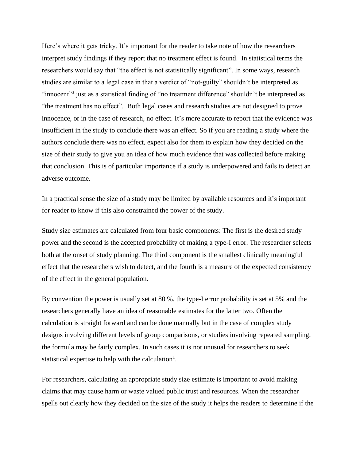Here's where it gets tricky. It's important for the reader to take note of how the researchers interpret study findings if they report that no treatment effect is found. In statistical terms the researchers would say that "the effect is not statistically significant". In some ways, research studies are similar to a legal case in that a verdict of "not-guilty" shouldn't be interpreted as "innocent"<sup>3</sup> just as a statistical finding of "no treatment difference" shouldn't be interpreted as "the treatment has no effect". Both legal cases and research studies are not designed to prove innocence, or in the case of research, no effect. It's more accurate to report that the evidence was insufficient in the study to conclude there was an effect. So if you are reading a study where the authors conclude there was no effect, expect also for them to explain how they decided on the size of their study to give you an idea of how much evidence that was collected before making that conclusion. This is of particular importance if a study is underpowered and fails to detect an adverse outcome.

In a practical sense the size of a study may be limited by available resources and it's important for reader to know if this also constrained the power of the study.

Study size estimates are calculated from four basic components: The first is the desired study power and the second is the accepted probability of making a type-I error. The researcher selects both at the onset of study planning. The third component is the smallest clinically meaningful effect that the researchers wish to detect, and the fourth is a measure of the expected consistency of the effect in the general population.

By convention the power is usually set at 80 %, the type-I error probability is set at 5% and the researchers generally have an idea of reasonable estimates for the latter two. Often the calculation is straight forward and can be done manually but in the case of complex study designs involving different levels of group comparisons, or studies involving repeated sampling, the formula may be fairly complex. In such cases it is not unusual for researchers to seek statistical expertise to help with the calculation<sup>1</sup>.

For researchers, calculating an appropriate study size estimate is important to avoid making claims that may cause harm or waste valued public trust and resources. When the researcher spells out clearly how they decided on the size of the study it helps the readers to determine if the